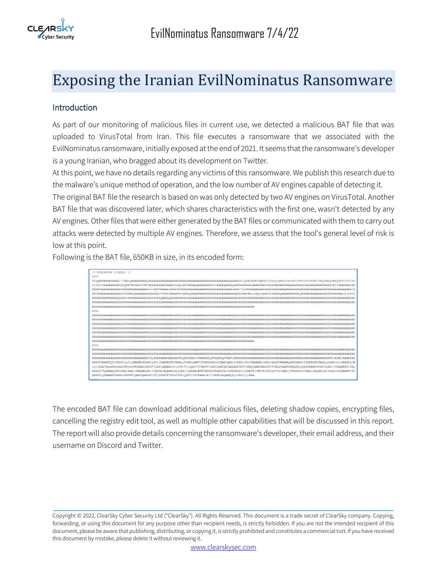

# Exposing the Iranian EvilNominatus Ransomware

# Introduction

As part of our monitoring of malicious files in current use, we detected a malicious BAT file that was uploaded to VirusTotal from Iran. This file executes a ransomware that we associated with the EvilNominatus ransomware, initially exposed at the end of 2021. It seems that the ransomware's developer is a young Iranian, who bragged about its development on Twitter.

At this point, we have no details regarding any victims of this ransomware. We publish this research due to the malware's unique method of operation, and the low number of AV engines capable of detecting it.

The original BAT file the research is based on was only detected by two AV engines on VirusTotal. Another BAT file that was discovered later, which shares characteristics with the first one, wasn't detected by any AV engines. Other files that were either generated by the BAT files or communicated with them to carry out attacks were detected by multiple AV engines. Therefore, we assess that the tool's general level of risk is low at this point.

Following is the BAT file, 650KB in size, in its encoded form:

| :: Nominatus Dropper ::                                                                                                                                    |
|------------------------------------------------------------------------------------------------------------------------------------------------------------|
| echo                                                                                                                                                       |
|                                                                                                                                                            |
|                                                                                                                                                            |
|                                                                                                                                                            |
|                                                                                                                                                            |
|                                                                                                                                                            |
|                                                                                                                                                            |
|                                                                                                                                                            |
| echo                                                                                                                                                       |
|                                                                                                                                                            |
|                                                                                                                                                            |
|                                                                                                                                                            |
|                                                                                                                                                            |
|                                                                                                                                                            |
|                                                                                                                                                            |
|                                                                                                                                                            |
| echo                                                                                                                                                       |
|                                                                                                                                                            |
|                                                                                                                                                            |
|                                                                                                                                                            |
| ARAHMPAAAKCqZzEAAACqsHcqEAAHBvEQAACqAHchEAAHACKBIAAApvEwAACqAHF28UAAAKAAdvFQAACqAGbxYAAAomBm8XAAAKACoAABswAwBUAAAAAqAAEQAAA3IZAABwKBIAAApyHQAAcBcoGAAACqoW |
| CysiAAACBgeaKAwAAAYABgeaKBkAAAoAAN4FJgAA3gAAAAcXlgsHBo5p/gQMCC3TAN4FJgAA3gAAKgEcAAAAAB4AFzUABOIAAAEAAAEATE0ABOIAAAEbMAQABggAAAMAABECHxAoGgAACn0BAAAEAh19Ag |
| AABAIUfOMAAAOCKBsAAAoAAAIoEAAABqAAciUAAHAoAOAABqBvYOAAcCqBAAAGAHK7AABwKAEAAAYAchsBAHAKACqcAAAKEzIWEzMrRREvETOaCwAAci8BAHAHbx0AAAooHqAACqAoHwAACm8qAAAKB28d |
| AAAKBigSAAAKKB4AAAAAAAHFJgAA3gAAABEzFlgTMxEzETKOaf4EEzQRNC2tKCEAAAoAclcBAHAoAQAABgBy0wEAcCgiAAA                                                            |
| acho                                                                                                                                                       |

The encoded BAT file can download additional malicious files, deleting shadow copies, encrypting files, cancelling the registry edit tool, as well as multiple other capabilities that will be discussed in this report. The report will also provide details concerning the ransomware's developer, their email address, and their username on Discord and Twitter.

Copyright © 2022, ClearSky Cyber Security Ltd ("ClearSky"). All Rights Reserved. This document is a trade secret of ClearSky company. Copying, forwarding, or using this document for any purpose other than recipient needs, is strictly forbidden. If you are not the intended recipient of this document, please be aware that publishing, distributing, or copying it, is strictly prohibited and constitutes a commercial tort. If you have received this document by mistake, please delete it without reviewing it.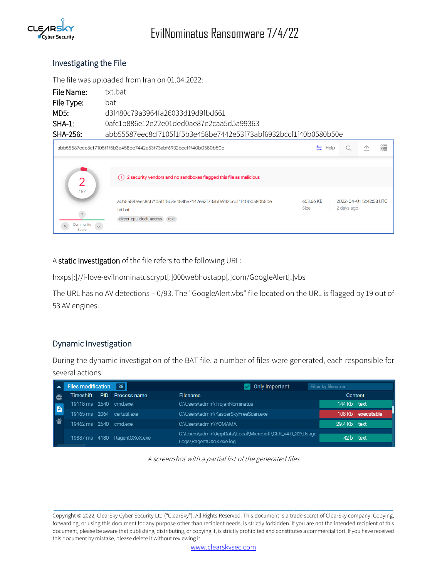

# Investigating the File

The file was uploaded from Iran on 01.04.2022:

| File Name: | txt bat                                                          |
|------------|------------------------------------------------------------------|
| File Type: | bat                                                              |
| MD5:       | d3f480c79a3964fa26033d19d9fbd661                                 |
| SHA-1:     | 0afc1b886e12e22e01ded0ae87e2caa5d5a99363                         |
| $SHA-256$  | abb55587eec8cf7105f1f5b3e458be7442e53f73abf6932bccf1f40b0580b50e |

| abb55587eec8cf7105f1f5b3e458be7442e53f73abf6932bccf1f40b0580b50e |                                                                                                                |                          | Help                                 | $\curvearrowleft$ | ${}^{000}_{000}$ |
|------------------------------------------------------------------|----------------------------------------------------------------------------------------------------------------|--------------------------|--------------------------------------|-------------------|------------------|
|                                                                  |                                                                                                                |                          |                                      |                   |                  |
|                                                                  | (!) 2 security vendors and no sandboxes flagged this file as malicious                                         |                          |                                      |                   |                  |
| /57<br>$\overline{?}$<br>Community<br>$\checkmark$<br>Score      | abb55587eec8cf7105f1f5b3e458be7442e53f73abf6932bccf1f40b0580b50e<br>txt.bat<br>direct-cpu-clock-access<br>text | 653.66 KB<br><b>Size</b> | 2022-04-0112:42:58 UTC<br>2 days ago |                   |                  |

A static investigation of the file refers to the following URL:

hxxps[:]//i-love-evilnominatuscrypt[.]000webhostapp[.]com/GoogleAlert[.]vbs

The URL has no AV detections – 0/93. The "GoogleAlert.vbs" file located on the URL is flagged by 19 out of 53 AV engines.

# Dynamic Investigation

During the dynamic investigation of the BAT file, a number of files were generated, each responsible for several actions:

|   | <b>Files modification</b> | 38                           | Only important                                                                      | Filter by filename |            |
|---|---------------------------|------------------------------|-------------------------------------------------------------------------------------|--------------------|------------|
| ⊕ |                           | Timeshift PID Process name   | <b>Filename</b>                                                                     | Content            |            |
| B | 19118 ms 2540 cmd.exe     |                              | C:\Users\admin\TrojanNominatus                                                      | 144 Kb text        |            |
|   |                           | 19165 ms 2064 certutil.exe   | C:\Users\admin\KasperSkyFreeScan.exe                                                | 108 Kb             | executable |
| 兼 | 19462 ms 2540 cmd.exe     |                              | C:\Users\admin\YOMAMA                                                               | 29.4 Kb text       |            |
|   |                           | 19837 ms 4180 RagentOXoX.exe | C:\Users\admin\AppData\Local\Microsoft\CLR_v4.0_32\Usage<br>Logs\RagentOXoX.exe.log | 42 b text          |            |

A screenshot with a partial list of the generated files

Copyright © 2022, ClearSky Cyber Security Ltd ("ClearSky"). All Rights Reserved. This document is a trade secret of ClearSky company. Copying, forwarding, or using this document for any purpose other than recipient needs, is strictly forbidden. If you are not the intended recipient of this document, please be aware that publishing, distributing, or copying it, is strictly prohibited and constitutes a commercial tort. If you have received this document by mistake, please delete it without reviewing it.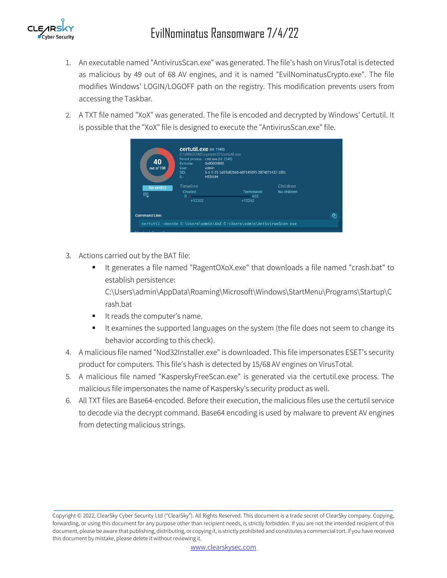

- 1. An executable named "AntivirusScan.exe" was generated. The file's hash on VirusTotal is detected as malicious by 49 out of 68 AV engines, and it is named "EvilNominatusCrypto.exe". The file modifies Windows' LOGIN/LOGOFF path on the registry. This modification prevents users from accessing the Taskbar.
- 2. A TXT file named "XoX" was generated. The file is encoded and decrypted by Windows' Certutil. It is possible that the "XoX" file is designed to execute the "AntivirusScan.exe" file.

| 40<br>out of 100            | Certutil.exe (id: 1940)<br>C:\WINDOWS\system32\certutil.exe<br>Parent process: cmd.exe (id: 2540)<br>0x00000000<br>Exitcode:<br>admin<br>User:<br>SID:<br>IL:<br><b>MEDIUM</b> | S-1-5-21-1693682860-607145093-2874071422-1001                        |                         |     |
|-----------------------------|--------------------------------------------------------------------------------------------------------------------------------------------------------------------------------|----------------------------------------------------------------------|-------------------------|-----|
| No verdict<br><u>स्ब्</u> ध | Timeline<br>Created<br>0 <sub>0</sub><br>+12202                                                                                                                                | <b>Terminated</b><br>660<br>$+12262$                                 | Children<br>No children |     |
| <b>Command Line:</b>        |                                                                                                                                                                                | certutil -decode C:\Users\admin\XoX C:\Users\admin\AntivirusScan.exe |                         | ረቅነ |
|                             |                                                                                                                                                                                |                                                                      |                         |     |

- 3. Actions carried out by the BAT file:
	- It generates a file named "RagentOXoX.exe" that downloads a file named "crash.bat" to establish persistence:

C:\Users\admin\AppData\Roaming\Microsoft\Windows\StartMenu\Programs\Startup\C rash.bat

- It reads the computer's name.
- It examines the supported languages on the system (the file does not seem to change its behavior according to this check).
- 4. A malicious file named "Nod32Installer.exe" is downloaded. This file impersonates ESET's security product for computers. This file's hash is detected by 15/68 AV engines on VirusTotal.
- 5. A malicious file named "KasperskyFreeScan.exe" is generated via the certutil.exe process. The malicious file impersonates the name of Kaspersky's security product as well.
- 6. All TXT files are Base64-encoded. Before their execution, the malicious files use the certutil service to decode via the decrypt command. Base64 encoding is used by malware to prevent AV engines from detecting malicious strings.

Copyright © 2022, ClearSky Cyber Security Ltd ("ClearSky"). All Rights Reserved. This document is a trade secret of ClearSky company. Copying, forwarding, or using this document for any purpose other than recipient needs, is strictly forbidden. If you are not the intended recipient of this document, please be aware that publishing, distributing, or copying it, is strictly prohibited and constitutes a commercial tort. If you have received this document by mistake, please delete it without reviewing it.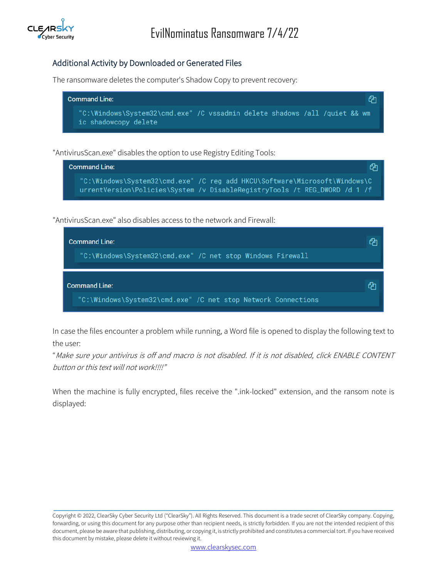

# Additional Activity by Downloaded or Generated Files

The ransomware deletes the computer's Shadow Copy to prevent recovery:



#### "AntivirusScan.exe" disables the option to use Registry Editing Tools:

| <b>Command Line:</b> |                                                                                                                                                            | ረካ |
|----------------------|------------------------------------------------------------------------------------------------------------------------------------------------------------|----|
|                      | 'C:\Windows\System32\cmd.exe" /C reg_add HKCU\Software\Microsoft\Windows\C "<br>urrentVersion\Policies\System /v DisableRegistryTools /t REG_DWORD /d 1 /f |    |

"AntivirusScan.exe" also disables access to the network and Firewall:



In case the files encounter a problem while running, a Word file is opened to display the following text to the user:

"Make sure your antivirus is off and macro is not disabled. If it is not disabled, click ENABLE CONTENT button or this text will not work!!!!"

When the machine is fully encrypted, files receive the ".ink-locked" extension, and the ransom note is displayed:

Copyright © 2022, ClearSky Cyber Security Ltd ("ClearSky"). All Rights Reserved. This document is a trade secret of ClearSky company. Copying, forwarding, or using this document for any purpose other than recipient needs, is strictly forbidden. If you are not the intended recipient of this document, please be aware that publishing, distributing, or copying it, is strictly prohibited and constitutes a commercial tort. If you have received this document by mistake, please delete it without reviewing it.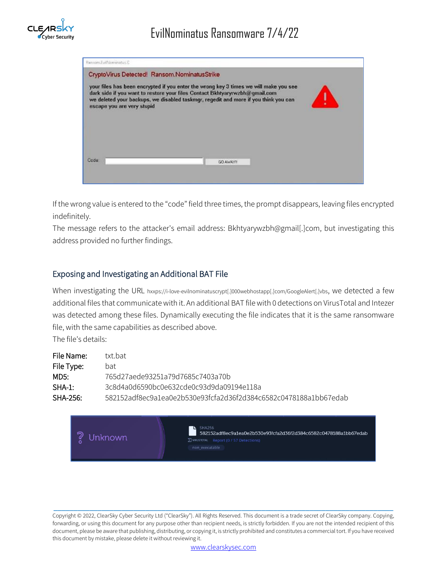

| Ransom.EvilNominatus.C                                                                                                                                                                                                                                                                                                                    |  |
|-------------------------------------------------------------------------------------------------------------------------------------------------------------------------------------------------------------------------------------------------------------------------------------------------------------------------------------------|--|
| CryptoVirus Detected! Ransom.NominatusStrike<br>your files has been encrypted if you enter the wrong key 3 times we will make you see<br>dark side if you want to restore your files Contact Bkhtyaryrwzbh@gmail.com<br>we deleted your backups, we disabled taskmgr, regedit and more if you think you can<br>escape you are very stupid |  |
| Code<br>GO AWAYN                                                                                                                                                                                                                                                                                                                          |  |

If the wrong value is entered to the "code" field three times, the prompt disappears, leaving files encrypted indefinitely.

The message refers to the attacker's email address: Bkhtyarywzbh@gmail[.]com, but investigating this address provided no further findings.

#### Exposing and Investigating an Additional BAT File

When investigating the URL hxxps://i-love-evilnominatuscrypt[.]000webhostapp[.]com/GoogleAlert[.]vbs, we detected a few additional files that communicate with it. An additional BAT file with 0 detections on VirusTotal and Intezer was detected among these files. Dynamically executing the file indicates that it is the same ransomware file, with the same capabilities as described above.

The file's details:

| File Name: | txt bat                                                          |
|------------|------------------------------------------------------------------|
| File Type: | hat                                                              |
| MD5:       | 765d27aede93251a79d7685c7403a70b                                 |
| $SHA-1:$   | 3c8d4a0d6590bc0e632cde0c93d9da09194e118a                         |
| $SHA-256:$ | 582152adf8ec9a1ea0e2b530e93fcfa2d36f2d384c6582c0478188a1bb67edab |

? Unknown

582152adf8ec9a1ea0e2b530e93fcfa2d36f2d384c6582c0478188a1bb67edab ∑ VIRUSTOTAL Report (0 / 57 Detections)

Copyright © 2022, ClearSky Cyber Security Ltd ("ClearSky"). All Rights Reserved. This document is a trade secret of ClearSky company. Copying, forwarding, or using this document for any purpose other than recipient needs, is strictly forbidden. If you are not the intended recipient of this document, please be aware that publishing, distributing, or copying it, is strictly prohibited and constitutes a commercial tort. If you have received this document by mistake, please delete it without reviewing it.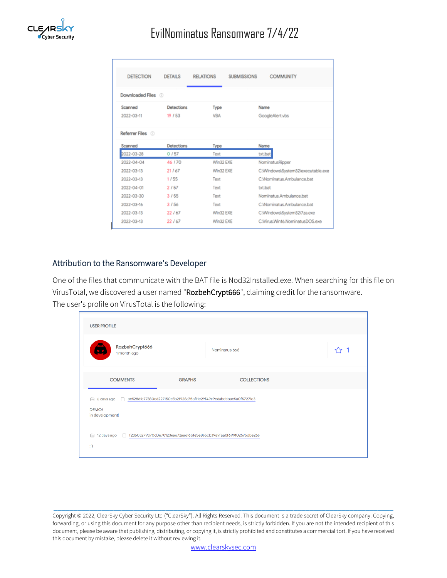

| <b>DETECTION</b> | <b>DETAILS</b>    | <b>RELATIONS</b><br><b>SUBMISSIONS</b> | <b>COMMUNITY</b>                   |
|------------------|-------------------|----------------------------------------|------------------------------------|
|                  |                   |                                        |                                    |
| Downloaded Files |                   |                                        |                                    |
| Scanned          | <b>Detections</b> | Type                                   | Name                               |
| 2022-03-11       | 19/53             | <b>VBA</b>                             | GoogleAlert.vbs                    |
|                  |                   |                                        |                                    |
| Referrer Files   |                   |                                        |                                    |
| Scanned          | <b>Detections</b> | Type                                   | Name                               |
| 2022-03-28       | 0/57              | Text                                   | txt.bat                            |
| 2022-04-04       | 46/70             | Win32 EXE                              | NominatusRipper                    |
| $2022 - 03 - 13$ | 21 / 67           | Win32 EXE                              | C:\Windows\System32\executable.exe |
| 2022-03-13       | 1/55              | Text                                   | C:\Nominatus.Ambulance.bat         |
| 2022-04-01       | 2/57              | Text                                   | txt.bat                            |
| 2022-03-30       | 3/55              | Text                                   | Nominatus.Ambulance.bat            |
| 2022-03-16       | 3/56              | Text                                   | C:\Nominatus.Ambulance.bat         |
| 2022-03-13       | 22/67             | Win32 EXE                              | C:\Windows\System32\7za.exe        |
| 2022-03-13       | 22 / 67           | Win32 EXE                              | C:Wirus.Win16.NominatusDOS.exe     |
|                  |                   |                                        |                                    |

#### Attribution to the Ransomware's Developer

One of the files that communicate with the BAT file is Nod32Installed.exe. When searching for this file on VirusTotal, we discovered a user named "RozbehCrypt666", claiming credit for the ransomware. The user's profile on VirusTotal is the following:

| <b>USER PROFILE</b>                                                                               |               |                    |  |
|---------------------------------------------------------------------------------------------------|---------------|--------------------|--|
| RozbehCrypt666<br>1 month ago                                                                     |               | Nominatus 666      |  |
| <b>COMMENTS</b>                                                                                   | <b>GRAPHS</b> | <b>COLLECTIONS</b> |  |
| <b>DEMO!!</b><br>in development!                                                                  |               |                    |  |
| 12 days ago   f2d605279d70d0e70123ea672aa6f6bfe5e865cb39a9faa0f699102595dbe266<br>fini).<br>$:$ ) |               |                    |  |

Copyright © 2022, ClearSky Cyber Security Ltd ("ClearSky"). All Rights Reserved. This document is a trade secret of ClearSky company. Copying, forwarding, or using this document for any purpose other than recipient needs, is strictly forbidden. If you are not the intended recipient of this document, please be aware that publishing, distributing, or copying it, is strictly prohibited and constitutes a commercial tort. If you have received this document by mistake, please delete it without reviewing it.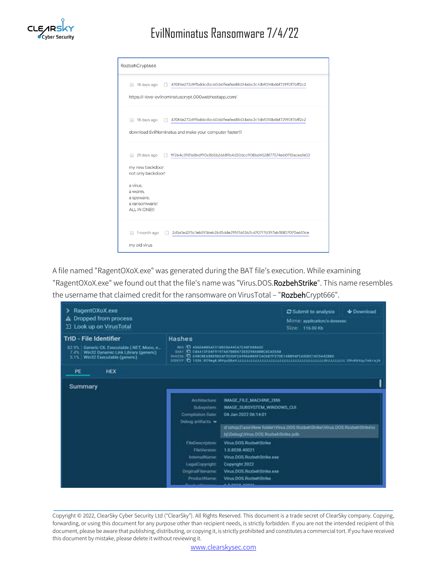

# EvilNominatus Ransomware 7/4/22

| RozbehCrypt666                                                                                                                                                                                              |
|-------------------------------------------------------------------------------------------------------------------------------------------------------------------------------------------------------------|
| 470f4e272d9fbddcdbc60d61feafea88d34abc2c1db9314b6bf729f0f7bff2c2<br>18 days ago<br>偏<br>https://i-love-evilnominatuscrypt.000webhostapp.com/                                                                |
| 470f4e272d9fbddcdbc60d61feafea88d34abc2c1db9314b6bf729f0f7bff2c2<br>18 days ago<br><b>Bill</b><br>download EvilNominatus and make your computer faster!!!                                                   |
| 21 days ago<br>9f264c3981a86df90c8b5b26689b4d30dcc908bd4528f77574eb0110aceafe02<br>匾<br>my new backdoor<br>not only backdoor!<br>a virus.<br>a worm.<br>a spyware,<br>a ransomware!<br><b>ALL IN ONE!!!</b> |
| 1 month ago<br>2d5a1ad2f5c1eb5936eb2645dde295f561267cd707f7d397ab18807070a610ce<br>iiii<br>my old virus                                                                                                     |

A file named "RagentOXoX.exe" was generated during the BAT file's execution. While examining "RagentOXoX.exe" we found out that the file's name was "Virus.DOS.RozbehStrike". This name resembles the username that claimed credit for the ransomware on VirusTotal - "RozbehCrypt666".



Copyright © 2022, ClearSky Cyber Security Ltd ("ClearSky"). All Rights Reserved. This document is a trade secret of ClearSky company. Copying, forwarding, or using this document for any purpose other than recipient needs, is strictly forbidden. If you are not the intended recipient of this document, please be aware that publishing, distributing, or copying it, is strictly prohibited and constitutes a commercial tort. If you have received this document by mistake, please delete it without reviewing it.

\_\_\_\_\_\_\_\_\_\_\_\_\_\_\_\_\_\_\_\_\_\_\_\_\_\_\_\_\_\_\_\_\_\_\_\_\_\_\_\_\_\_\_\_\_\_\_\_\_\_\_\_\_\_\_\_\_\_\_\_\_\_\_\_\_\_\_\_\_\_\_\_\_\_\_\_\_\_\_\_\_\_\_\_\_

[www.clearskysec.com](http://www.clearskysec.com/)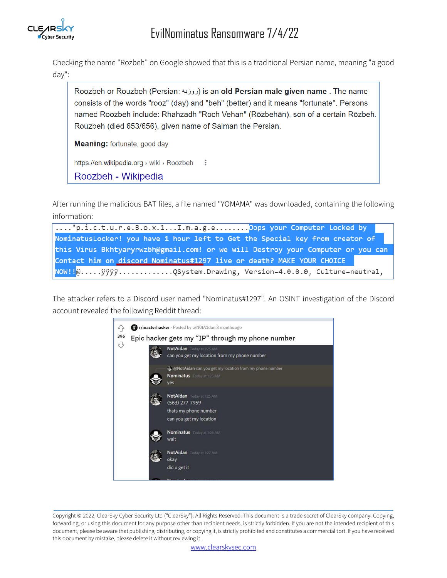

Checking the name "Rozbeh" on Google showed that this is a traditional Persian name, meaning "a good day":

Roozbeh or Rouzbeh (Persian: روزبه) is an old Persian male given name. The name consists of the words "rooz" (day) and "beh" (better) and it means "fortunate". Persons named Roozbeh include: Rhahzadh "Roch Vehan" (Rōzbehān), son of a certain Rōzbeh. Rouzbeh (died 653/656), given name of Salman the Persian.

Meaning: fortunate, good day

https://en.wikipedia.org > wiki > Roozbeh  $\mathbb{R}$ 

Roozbeh - Wikipedia

After running the malicious BAT files, a file named "YOMAMA" was downloaded, containing the following information:

...."p.i.c.t.u.r.e.B.o.x.1...I.m.a.g.e........Oops your Computer Locked by NominatusLocker! you have 1 hour left to Get the Special key from creator of this Virus Bkhtyaryrwzbh@gmail.com! or we will Destroy your Computer or you can Contact him on discord Nominatus#1297 live or death? MAKE YOUR CHOICE NOW!!@.....ÿÿÿÿ............QSystem.Drawing, Version=4.0.0.0, Culture=neutral,

The attacker refers to a Discord user named "Nominatus#1297". An OSINT investigation of the Discord account revealed the following Reddit thread:



Copyright © 2022, ClearSky Cyber Security Ltd ("ClearSky"). All Rights Reserved. This document is a trade secret of ClearSky company. Copying, forwarding, or using this document for any purpose other than recipient needs, is strictly forbidden. If you are not the intended recipient of this document, please be aware that publishing, distributing, or copying it, is strictly prohibited and constitutes a commercial tort. If you have received this document by mistake, please delete it without reviewing it.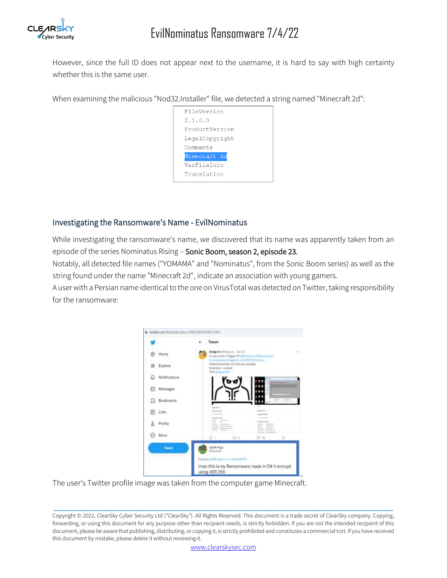

However, since the full ID does not appear next to the username, it is hard to say with high certainty whether this is the same user.

When examining the malicious "Nod32.Installer" file, we detected a string named "Minecraft 2d":



#### Investigating the Ransomware's Name - EvilNominatus

While investigating the ransomware's name, we discovered that its name was apparently taken from an episode of the series Nominatus Rising – Sonic Boom, season 2, episode 23.

Notably, all detected file names ("YOMAMA" and "Nominatus", from the Sonic Boom series) as well as the string found under the name "Minecraft 2d", indicate an association with young gamers.

A user with a Persian name identical to the one on VirusTotal was detected on Twitter, taking responsibility for the ransomware:



The user's Twitter profile image was taken from the computer game Minecraft.

Copyright © 2022, ClearSky Cyber Security Ltd ("ClearSky"). All Rights Reserved. This document is a trade secret of ClearSky company. Copying, forwarding, or using this document for any purpose other than recipient needs, is strictly forbidden. If you are not the intended recipient of this document, please be aware that publishing, distributing, or copying it, is strictly prohibited and constitutes a commercial tort. If you have received this document by mistake, please delete it without reviewing it.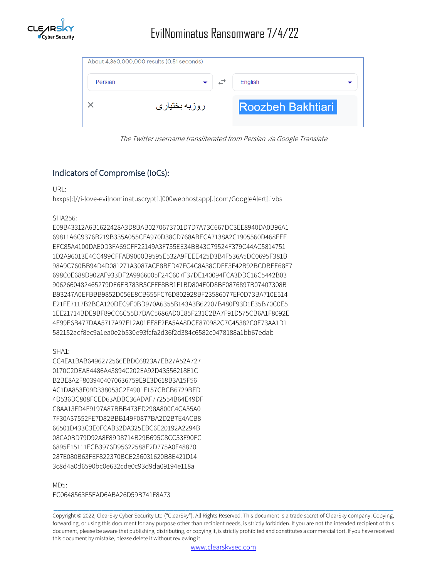

|         | About 4,360,000,000 results (0.51 seconds) |                          |
|---------|--------------------------------------------|--------------------------|
| Persian |                                            | English                  |
|         | روزبه بختیاری                              | <b>Roozbeh Bakhtiari</b> |

The Twitter username transliterated from Persian via Google Translate

# Indicators of Compromise (IoCs):

URL:

hxxps[:]//i-love-evilnominatuscrypt[.]000webhostapp[.]com/GoogleAlert[.]vbs

#### SHA256:

E09B43312A6B1622428A3D8BAB0270673701D7D7A73C667DC3EE8940DA0B96A1 69811A6C9376B219B335A055CFA970D38CD768ABECA7138A2C1905560D468FEF EFC85A4100DAE0D3FA69CFF22149A3F735EE34BB43C79524F379C44AC5814751 1D2A96013E4CC499CFFAB9000B9595E532A9FEEE425D3B4F536A5DC0695F381B 98A9C760BB94D4D081271A3087ACE8BED47FC4C8A38CDFE3F42B92BCDBEE68E7 698C0E688D902AF933DF2A9966005F24C607F37DE140094FCA3DDC16C5442B03 9062660482465279DE6EB783B5CFFF8BB1F1BD804E0D8BF0876897B07407308B B93247A0EFBBB9852D056E8CB655FC76D802928BF23586077EF0D73BA710E514 E21FE7117B2BCA120DEC9F0BD970A6355B143A3B62207B480F93D1E35B70C0E5 1EE21714BDE9BF89CC6C55D7DAC5686AD0E85F231C2BA7F91D575CB6A1F8092E 4E99E6B477DAA5717A97F12A01EE8F2FA5AA8DCE870982C7C45382C0E73AA1D1 582152adf8ec9a1ea0e2b530e93fcfa2d36f2d384c6582c0478188a1bb67edab

SHA1:

CC4EA1BAB6496272566EBDC6823A7EB27A52A727 0170C2DEAE4486A43894C202EA92D43556218E1C B2BE8A2F8039404070636759E9E3D618B3A15F56 AC1DA853F09D338053C2F4901F157CBCB6729BED 4D536DC808FCED63ADBC36ADAF772554B64E49DF C8AA13FD4F9197A87BBB473ED298A800C4CA55A0 7F30A37552FE7D82BBB149F0877BA2D2B7E4ACB8 66501D433C3E0FCAB32DA325EBC6E20192A2294B 08CA0BD79D92A8F89D8714B29B695C8CC53F90FC 6895E15111ECB3976D95622588E2D775A0F48870 287E080B63FEF822370BCE236031620B8E421D14 3c8d4a0d6590bc0e632cde0c93d9da09194e118a

#### MD5:

EC0648563F5EAD6ABA26D59B741F8A73

Copyright © 2022, ClearSky Cyber Security Ltd ("ClearSky"). All Rights Reserved. This document is a trade secret of ClearSky company. Copying, forwarding, or using this document for any purpose other than recipient needs, is strictly forbidden. If you are not the intended recipient of this document, please be aware that publishing, distributing, or copying it, is strictly prohibited and constitutes a commercial tort. If you have received this document by mistake, please delete it without reviewing it.